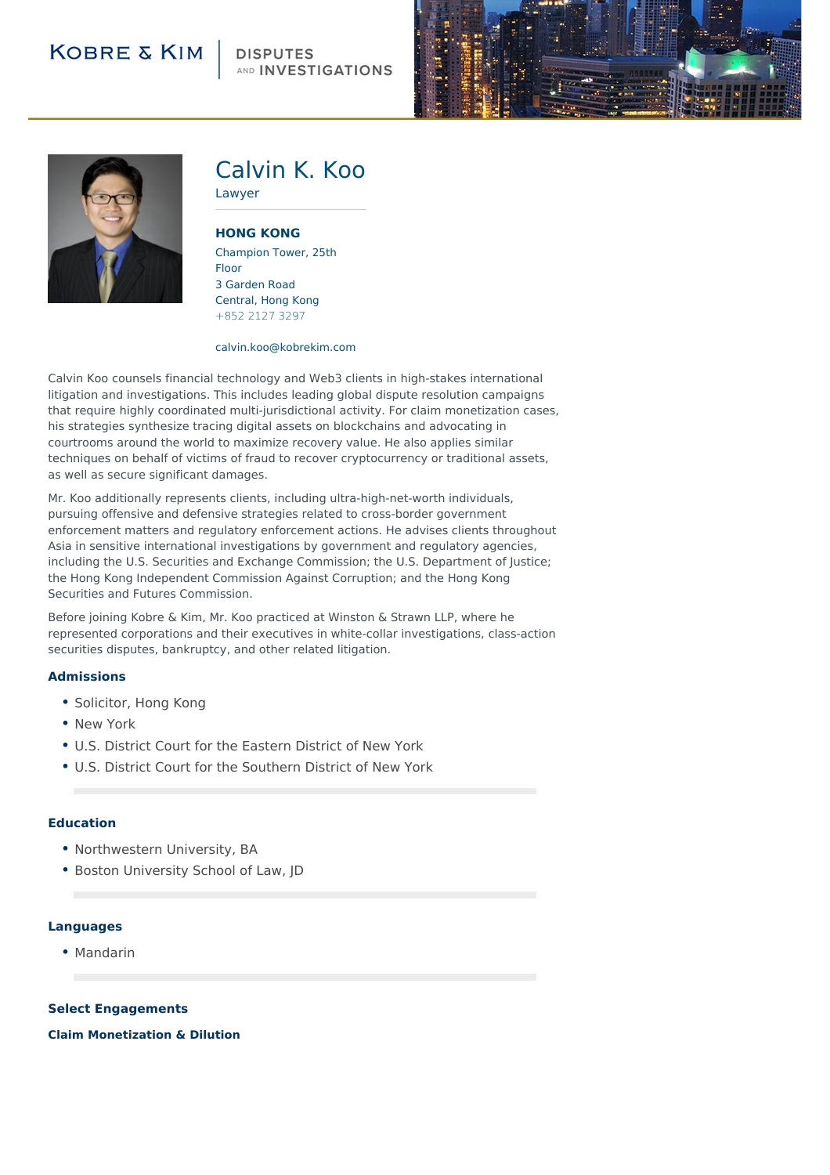### **DISPUTES** AND INVESTIGATIONS





## Calvin K. Koo

**[HONG](http://104.130.141.44/locations/hong-kong) KONG**

Lawyer

Champion Tower, 25th Floor 3 Garden Road Central, Hong Kong +852 2127 3297

#### calvin.koo@kobrekim.com

Calvin Koo counsels financial technology and Web3 clients in high-stakes international litigation and investigations. This includes leading global dispute resolution campaigns that require highly coordinated multi-jurisdictional activity. For claim monetization cases, his strategies synthesize tracing digital assets on blockchains and advocating in courtrooms around the world to maximize recovery value. He also applies similar techniques on behalf of victims of fraud to recover cryptocurrency or traditional assets, as well as secure significant damages.

Mr. Koo additionally represents clients, including ultra-high-net-worth individuals, pursuing offensive and defensive strategies related to cross-border government enforcement matters and regulatory enforcement actions. He advises clients throughout Asia in sensitive international investigations by government and regulatory agencies, including the U.S. Securities and Exchange Commission; the U.S. Department of Justice; the Hong Kong Independent Commission Against Corruption; and the Hong Kong Securities and Futures Commission.

Before joining Kobre & Kim, Mr. Koo practiced at Winston & Strawn LLP, where he represented corporations and their executives in white-collar investigations, class-action securities disputes, bankruptcy, and other related litigation.

### **Admissions**

- Solicitor, Hong Kong
- New York
- U.S. District Court for the Eastern District of New York
- U.S. District Court for the Southern District of New York

### **Education**

- Northwestern University, BA
- Boston University School of Law, JD

#### **Languages**

• Mandarin

#### **Select Engagements**

**Claim Monetization & Dilution**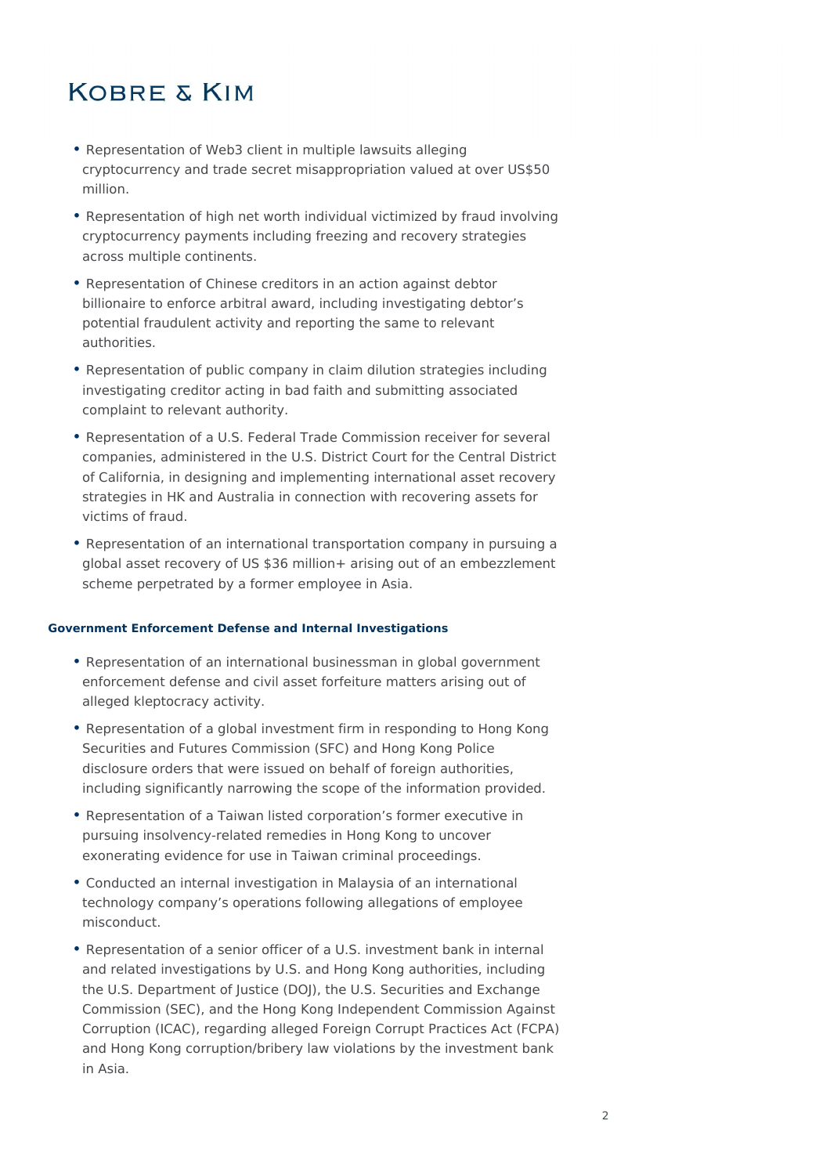- Representation of Web3 client in multiple lawsuits alleging cryptocurrency and trade secret misappropriation valued at over US\$50 million.
- Representation of high net worth individual victimized by fraud involving cryptocurrency payments including freezing and recovery strategies across multiple continents.
- Representation of Chinese creditors in an action against debtor billionaire to enforce arbitral award, including investigating debtor's potential fraudulent activity and reporting the same to relevant authorities.
- Representation of public company in claim dilution strategies including investigating creditor acting in bad faith and submitting associated complaint to relevant authority.
- Representation of a U.S. Federal Trade Commission receiver for several companies, administered in the U.S. District Court for the Central District of California, in designing and implementing international asset recovery strategies in HK and Australia in connection with recovering assets for victims of fraud.
- Representation of an international transportation company in pursuing a global asset recovery of US \$36 million+ arising out of an embezzlement scheme perpetrated by a former employee in Asia.

### **Government Enforcement Defense and Internal Investigations**

- Representation of an international businessman in global government enforcement defense and civil asset forfeiture matters arising out of alleged kleptocracy activity.
- Representation of a global investment firm in responding to Hong Kong Securities and Futures Commission (SFC) and Hong Kong Police disclosure orders that were issued on behalf of foreign authorities, including significantly narrowing the scope of the information provided.
- Representation of a Taiwan listed corporation's former executive in pursuing insolvency-related remedies in Hong Kong to uncover exonerating evidence for use in Taiwan criminal proceedings.
- Conducted an internal investigation in Malaysia of an international technology company's operations following allegations of employee misconduct.
- Representation of a senior officer of a U.S. investment bank in internal and related investigations by U.S. and Hong Kong authorities, including the U.S. Department of Justice (DOJ), the U.S. Securities and Exchange Commission (SEC), and the Hong Kong Independent Commission Against Corruption (ICAC), regarding alleged Foreign Corrupt Practices Act (FCPA) and Hong Kong corruption/bribery law violations by the investment bank in Asia.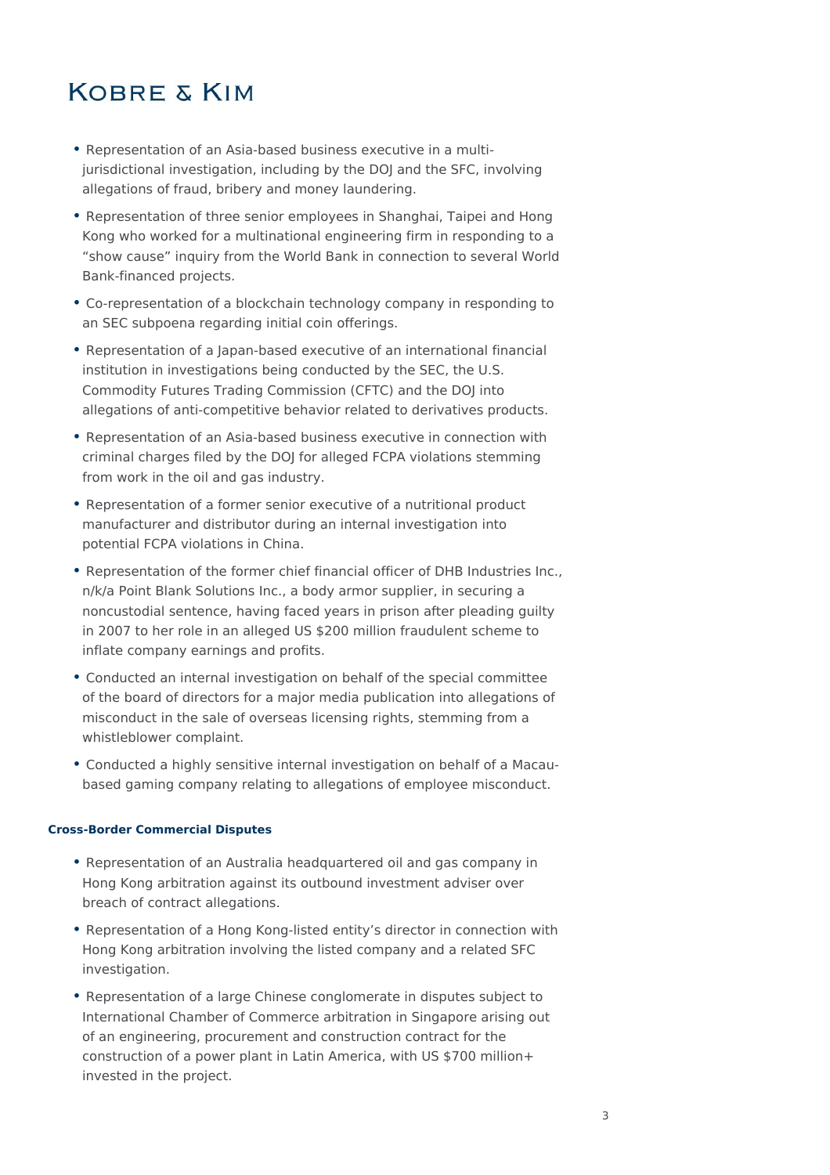- Representation of an Asia-based business executive in a multijurisdictional investigation, including by the DOJ and the SFC, involving allegations of fraud, bribery and money laundering.
- Representation of three senior employees in Shanghai, Taipei and Hong Kong who worked for a multinational engineering firm in responding to a "show cause" inquiry from the World Bank in connection to several World Bank-financed projects.
- Co-representation of a blockchain technology company in responding to an SEC subpoena regarding initial coin offerings.
- Representation of a Japan-based executive of an international financial institution in investigations being conducted by the SEC, the U.S. Commodity Futures Trading Commission (CFTC) and the DOJ into allegations of anti-competitive behavior related to derivatives products.
- Representation of an Asia-based business executive in connection with criminal charges filed by the DOJ for alleged FCPA violations stemming from work in the oil and gas industry.
- Representation of a former senior executive of a nutritional product manufacturer and distributor during an internal investigation into potential FCPA violations in China.
- Representation of the former chief financial officer of DHB Industries Inc., n/k/a Point Blank Solutions Inc., a body armor supplier, in securing a noncustodial sentence, having faced years in prison after pleading guilty in 2007 to her role in an alleged US \$200 million fraudulent scheme to inflate company earnings and profits.
- Conducted an internal investigation on behalf of the special committee of the board of directors for a major media publication into allegations of misconduct in the sale of overseas licensing rights, stemming from a whistleblower complaint.
- Conducted a highly sensitive internal investigation on behalf of a Macaubased gaming company relating to allegations of employee misconduct.

### **Cross-Border Commercial Disputes**

- Representation of an Australia headquartered oil and gas company in Hong Kong arbitration against its outbound investment adviser over breach of contract allegations.
- Representation of a Hong Kong-listed entity's director in connection with Hong Kong arbitration involving the listed company and a related SFC investigation.
- Representation of a large Chinese conglomerate in disputes subject to International Chamber of Commerce arbitration in Singapore arising out of an engineering, procurement and construction contract for the construction of a power plant in Latin America, with US \$700 million+ invested in the project.